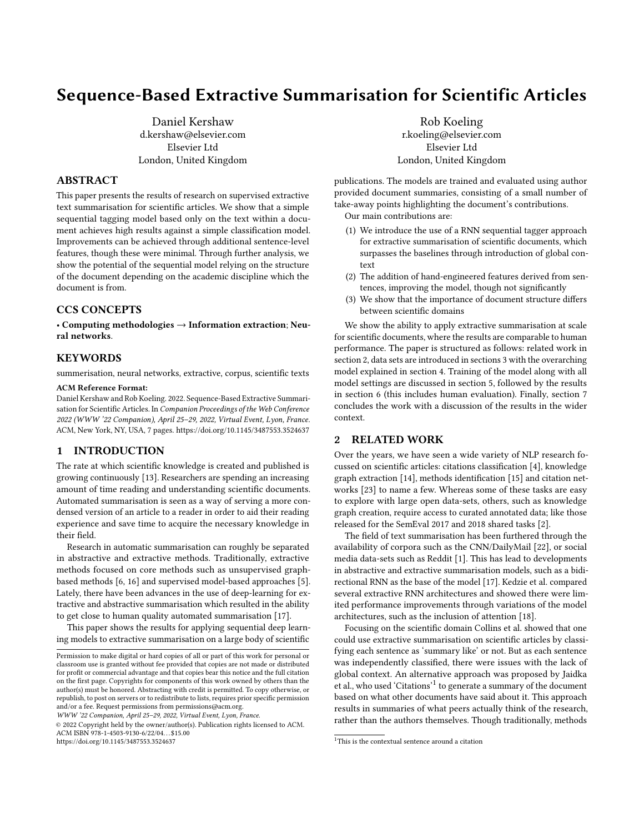# <span id="page-0-2"></span>Sequence-Based Extractive Summarisation for Scientific Articles

[Daniel Kershaw](https://orcid.org/0000-0002-9130-5517) d.kershaw@elsevier.com Elsevier Ltd London, United Kingdom

# ABSTRACT

This paper presents the results of research on supervised extractive text summarisation for scientific articles. We show that a simple sequential tagging model based only on the text within a document achieves high results against a simple classification model. Improvements can be achieved through additional sentence-level features, though these were minimal. Through further analysis, we show the potential of the sequential model relying on the structure of the document depending on the academic discipline which the document is from.

# CCS CONCEPTS

• Computing methodologies → Information extraction; Neural networks.

#### **KEYWORDS**

summerisation, neural networks, extractive, corpus, scientific texts

#### ACM Reference Format:

Daniel Kershaw and Rob Koeling. 2022. Sequence-Based Extractive Summarisation for Scientific Articles. In Companion Proceedings of the Web Conference 2022 (WWW '22 Companion), April 25–29, 2022, Virtual Event, Lyon, France. ACM, New York, NY, USA, [7](#page-6-0) pages.<https://doi.org/10.1145/3487553.3524637>

# 1 INTRODUCTION

The rate at which scientific knowledge is created and published is growing continuously [\[13\]](#page-6-1). Researchers are spending an increasing amount of time reading and understanding scientific documents. Automated summarisation is seen as a way of serving a more condensed version of an article to a reader in order to aid their reading experience and save time to acquire the necessary knowledge in their field.

Research in automatic summarisation can roughly be separated in abstractive and extractive methods. Traditionally, extractive methods focused on core methods such as unsupervised graphbased methods [\[6,](#page-5-0) [16\]](#page-6-2) and supervised model-based approaches [\[5\]](#page-5-1). Lately, there have been advances in the use of deep-learning for extractive and abstractive summarisation which resulted in the ability to get close to human quality automated summarisation [\[17\]](#page-6-3).

This paper shows the results for applying sequential deep learning models to extractive summarisation on a large body of scientific

WWW '22 Companion, April 25–29, 2022, Virtual Event, Lyon, France.

© 2022 Copyright held by the owner/author(s). Publication rights licensed to ACM. ACM ISBN 978-1-4503-9130-6/22/04. . . \$15.00 <https://doi.org/10.1145/3487553.3524637>

[Rob Koeling](https://orcid.org/0000-0002-8073-2409) r.koeling@elsevier.com Elsevier Ltd London, United Kingdom

publications. The models are trained and evaluated using author provided document summaries, consisting of a small number of take-away points highlighting the document's contributions. Our main contributions are:

- (1) We introduce the use of a RNN sequential tagger approach for extractive summarisation of scientific documents, which surpasses the baselines through introduction of global context
- (2) The addition of hand-engineered features derived from sentences, improving the model, though not significantly
- (3) We show that the importance of document structure differs between scientific domains

We show the ability to apply extractive summarisation at scale for scientific documents, where the results are comparable to human performance. The paper is structured as follows: related work in section [2,](#page-0-0) data sets are introduced in sections [3](#page-1-0) with the overarching model explained in section [4.](#page-1-1) Training of the model along with all model settings are discussed in section [5,](#page-2-0) followed by the results in section [6](#page-3-0) (this includes human evaluation). Finally, section [7](#page-4-0) concludes the work with a discussion of the results in the wider context.

# <span id="page-0-0"></span>2 RELATED WORK

Over the years, we have seen a wide variety of NLP research focussed on scientific articles: citations classification [\[4\]](#page-5-2), knowledge graph extraction [\[14\]](#page-6-4), methods identification [\[15\]](#page-6-5) and citation networks [\[23\]](#page-6-6) to name a few. Whereas some of these tasks are easy to explore with large open data-sets, others, such as knowledge graph creation, require access to curated annotated data; like those released for the SemEval 2017 and 2018 shared tasks [\[2\]](#page-5-3).

The field of text summarisation has been furthered through the availability of corpora such as the CNN/DailyMail [\[22\]](#page-6-7), or social media data-sets such as Reddit [\[1\]](#page-5-4). This has lead to developments in abstractive and extractive summarisation models, such as a bidirectional RNN as the base of the model [\[17\]](#page-6-3). [Kedzie et al.](#page-6-8) compared several extractive RNN architectures and showed there were limited performance improvements through variations of the model architectures, such as the inclusion of attention [\[18\]](#page-6-9).

Focusing on the scientific domain [Collins et al.](#page-5-1) showed that one could use extractive summarisation on scientific articles by classifying each sentence as 'summary like' or not. But as each sentence was independently classified, there were issues with the lack of global context. An alternative approach was proposed by [Jaidka](#page-6-10) [et al.,](#page-6-10) who used 'Citations'[1](#page-0-1) to generate a summary of the document based on what other documents have said about it. This approach results in summaries of what peers actually think of the research, rather than the authors themselves. Though traditionally, methods

Permission to make digital or hard copies of all or part of this work for personal or classroom use is granted without fee provided that copies are not made or distributed for profit or commercial advantage and that copies bear this notice and the full citation on the first page. Copyrights for components of this work owned by others than the author(s) must be honored. Abstracting with credit is permitted. To copy otherwise, or republish, to post on servers or to redistribute to lists, requires prior specific permission and/or a fee. Request permissions from permissions@acm.org.

<span id="page-0-1"></span> $^{\rm 1}$  This is the contextual sentence around a citation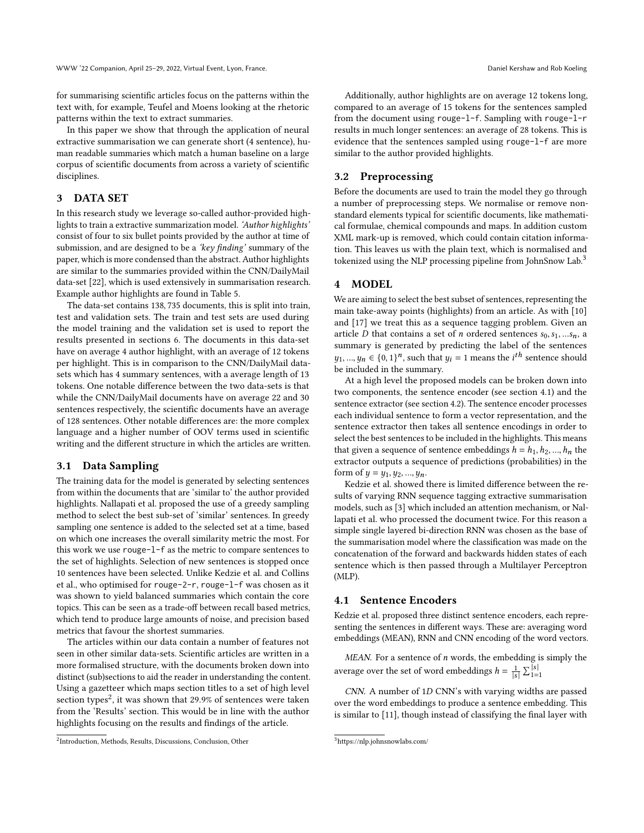for summarising scientific articles focus on the patterns within the text with, for example, [Teufel and Moens](#page-6-11) looking at the rhetoric patterns within the text to extract summaries.

In this paper we show that through the application of neural extractive summarisation we can generate short (4 sentence), human readable summaries which match a human baseline on a large corpus of scientific documents from across a variety of scientific disciplines.

# <span id="page-1-0"></span>3 DATA SET

In this research study we leverage so-called author-provided highlights to train a extractive summarization model. 'Author highlights' consist of four to six bullet points provided by the author at time of submission, and are designed to be a 'key finding' summary of the paper, which is more condensed than the abstract. Author highlights are similar to the summaries provided within the CNN/DailyMail data-set [\[22\]](#page-6-7), which is used extensively in summarisation research. Example author highlights are found in Table [5.](#page-5-5)

The data-set contains 138, 735 documents, this is split into train, test and validation sets. The train and test sets are used during the model training and the validation set is used to report the results presented in sections [6.](#page-3-0) The documents in this data-set have on average 4 author highlight, with an average of 12 tokens per highlight. This is in comparison to the CNN/DailyMail datasets which has 4 summary sentences, with a average length of 13 tokens. One notable difference between the two data-sets is that while the CNN/DailyMail documents have on average 22 and 30 sentences respectively, the scientific documents have an average of 128 sentences. Other notable differences are: the more complex language and a higher number of [OOV](#page-0-2) terms used in scientific writing and the different structure in which the articles are written.

#### 3.1 Data Sampling

The training data for the model is generated by selecting sentences from within the documents that are 'similar to' the author provided highlights. [Nallapati et al.](#page-6-3) proposed the use of a greedy sampling method to select the best sub-set of 'similar' sentences. In greedy sampling one sentence is added to the selected set at a time, based on which one increases the overall similarity metric the most. For this work we use rouge-l-f as the metric to compare sentences to the set of highlights. Selection of new sentences is stopped once 10 sentences have been selected. Unlike [Kedzie et al.](#page-6-8) and [Collins](#page-5-1) [et al.,](#page-5-1) who optimised for rouge-2-r, rouge-l-f was chosen as it was shown to yield balanced summaries which contain the core topics. This can be seen as a trade-off between recall based metrics, which tend to produce large amounts of noise, and precision based metrics that favour the shortest summaries.

The articles within our data contain a number of features not seen in other similar data-sets. Scientific articles are written in a more formalised structure, with the documents broken down into distinct (sub)sections to aid the reader in understanding the content. Using a gazetteer which maps section titles to a set of high level section types<sup>[2](#page-1-2)</sup>, it was shown that 29.9% of sentences were taken from the 'Results' section. This would be in line with the author highlights focusing on the results and findings of the article.

Additionally, author highlights are on average 12 tokens long, compared to an average of 15 tokens for the sentences sampled from the document using rouge-l-f. Sampling with rouge-l-r results in much longer sentences: an average of 28 tokens. This is evidence that the sentences sampled using rouge-l-f are more similar to the author provided highlights.

#### 3.2 Preprocessing

Before the documents are used to train the model they go through a number of preprocessing steps. We normalise or remove nonstandard elements typical for scientific documents, like mathematical formulae, chemical compounds and maps. In addition custom XML mark-up is removed, which could contain citation information. This leaves us with the plain text, which is normalised and tokenized using the [NLP](#page-0-2) processing pipeline from JohnSnow Lab.<sup>[3](#page-1-3)</sup>

### <span id="page-1-1"></span>4 MODEL

We are aiming to select the best subset of sentences, representing the main take-away points (highlights) from an article. As with [\[10\]](#page-6-8) and [\[17\]](#page-6-3) we treat this as a sequence tagging problem. Given an article  $D$  that contains a set of  $n$  ordered sentences  $s_0, s_1, ... s_n$ , a summary is generated by predicting the label of the sentences  $y_1, ..., y_n \in \{0, 1\}^n$ , such that  $y_i = 1$  means the  $i^{th}$  sentence should be included in the summary.

At a high level the proposed models can be broken down into two components, the sentence encoder (see section [4.1\)](#page-1-4) and the sentence extractor (see section [4.2\)](#page-2-1). The sentence encoder processes each individual sentence to form a vector representation, and the sentence extractor then takes all sentence encodings in order to select the best sentences to be included in the highlights. This means that given a sequence of sentence embeddings  $h = h_1, h_2, ..., h_n$  the extractor outputs a sequence of predictions (probabilities) in the form of  $y = y_1, y_2, ..., y_n$ .

[Kedzie et al.](#page-6-8) showed there is limited difference between the results of varying [RNN](#page-0-2) sequence tagging extractive summarisation models, such as [\[3\]](#page-5-6) which included an attention mechanism, or [Nal](#page-6-3)[lapati et al.](#page-6-3) who processed the document twice. For this reason a simple single layered bi-direction [RNN](#page-0-2) was chosen as the base of the summarisation model where the classification was made on the concatenation of the forward and backwards hidden states of each sentence which is then passed through a [Multilayer Perceptron](#page-0-2) [\(MLP\)](#page-0-2).

#### <span id="page-1-4"></span>4.1 Sentence Encoders

[Kedzie et al.](#page-6-8) proposed three distinct sentence encoders, each representing the sentences in different ways. These are: averaging word embeddings (MEAN), [RNN](#page-0-2) and [CNN](#page-0-2) encoding of the word vectors.

MEAN. For a sentence of  $n$  words, the embedding is simply the average over the set of word embeddings  $h = \frac{1}{|s|} \sum_{1=1}^{|s|}$ 

 $CNN.$  A number of  $1D CNN's$  $1D CNN's$  $1D CNN's$  with varying widths are passed over the word embeddings to produce a sentence embedding. This is similar to [\[11\]](#page-6-12), though instead of classifying the final layer with

<span id="page-1-2"></span><sup>2</sup> Introduction, Methods, Results, Discussions, Conclusion, Other

<span id="page-1-3"></span><sup>3</sup><https://nlp.johnsnowlabs.com/>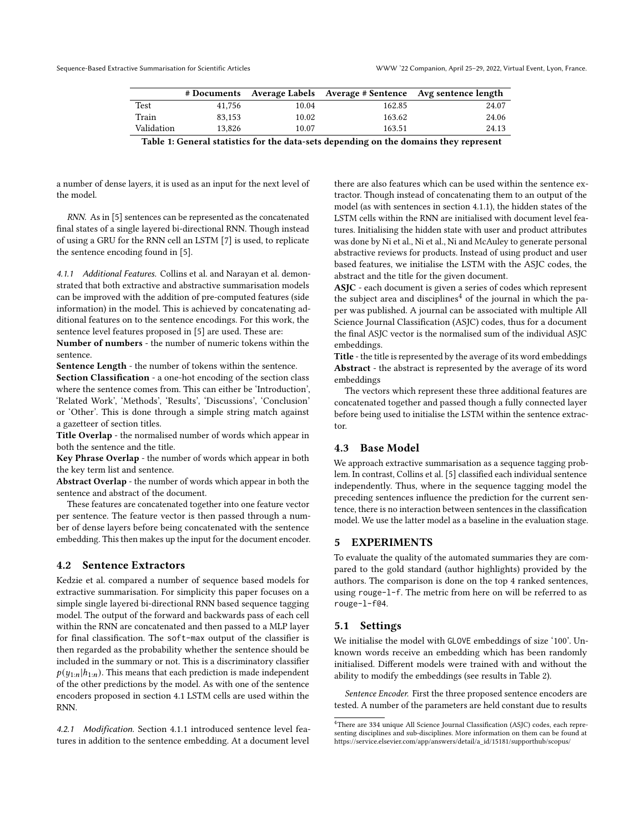|            | # Documents |       |        | Average Labels Average # Sentence Avg sentence length |
|------------|-------------|-------|--------|-------------------------------------------------------|
| Test       | 41.756      | 10.04 | 162.85 | 24.07                                                 |
| Train      | 83.153      | 10.02 | 163.62 | 24.06                                                 |
| Validation | 13.826      | 10.07 | 163.51 | 24.13                                                 |
| ______     |             |       |        |                                                       |

Table 1: General statistics for the data-sets depending on the domains they represent

a number of dense layers, it is used as an input for the next level of the model.

[RNN.](#page-0-2) As in [\[5\]](#page-5-1) sentences can be represented as the concatenated final states of a single layered bi-directional [RNN.](#page-0-2) Though instead of using a [GRU](#page-0-2) for the [RNN](#page-0-2) cell an [LSTM](#page-0-2) [\[7\]](#page-6-13) is used, to replicate the sentence encoding found in [\[5\]](#page-5-1).

<span id="page-2-2"></span>4.1.1 Additional Features. [Collins et al.](#page-5-1) and [Narayan et al.](#page-6-9) demonstrated that both extractive and abstractive summarisation models can be improved with the addition of pre-computed features (side information) in the model. This is achieved by concatenating additional features on to the sentence encodings. For this work, the sentence level features proposed in [\[5\]](#page-5-1) are used. These are:

Number of numbers - the number of numeric tokens within the sentence.

Sentence Length - the number of tokens within the sentence.

Section Classification - a one-hot encoding of the section class where the sentence comes from. This can either be 'Introduction', 'Related Work', 'Methods', 'Results', 'Discussions', 'Conclusion' or 'Other'. This is done through a simple string match against a gazetteer of section titles.

Title Overlap - the normalised number of words which appear in both the sentence and the title.

Key Phrase Overlap - the number of words which appear in both the key term list and sentence.

Abstract Overlap - the number of words which appear in both the sentence and abstract of the document.

These features are concatenated together into one feature vector per sentence. The feature vector is then passed through a number of dense layers before being concatenated with the sentence embedding. This then makes up the input for the document encoder.

#### <span id="page-2-1"></span>4.2 Sentence Extractors

[Kedzie et al.](#page-6-8) compared a number of sequence based models for extractive summarisation. For simplicity this paper focuses on a simple single layered bi-directional [RNN](#page-0-2) based sequence tagging model. The output of the forward and backwards pass of each cell within the [RNN](#page-0-2) are concatenated and then passed to a [MLP](#page-0-2) layer for final classification. The soft-max output of the classifier is then regarded as the probability whether the sentence should be included in the summary or not. This is a discriminatory classifier  $p(y_{1:n} | h_{1:n})$ . This means that each prediction is made independent of the other predictions by the model. As with one of the sentence encoders proposed in section [4.1](#page-1-4) [LSTM](#page-0-2) cells are used within the [RNN.](#page-0-2)

4.2.1 Modification. Section [4.1.1](#page-2-2) introduced sentence level features in addition to the sentence embedding. At a document level

there are also features which can be used within the sentence extractor. Though instead of concatenating them to an output of the model (as with sentences in section [4.1.1\)](#page-2-2), the hidden states of the [LSTM](#page-0-2) cells within the [RNN](#page-0-2) are initialised with document level features. Initialising the hidden state with user and product attributes was done by [Ni et al.,](#page-6-14) [Ni et al.,](#page-6-15) [Ni and McAuley](#page-6-16) to generate personal abstractive reviews for products. Instead of using product and user based features, we initialise the [LSTM](#page-0-2) with the [ASJC](#page-0-2) codes, the abstract and the title for the given document.

ASJC - each document is given a series of codes which represent the subject area and disciplines<sup>[4](#page-2-3)</sup> of the journal in which the paper was published. A journal can be associated with multiple [All](#page-0-2) [Science Journal Classification](#page-0-2) [\(ASJC\)](#page-0-2) codes, thus for a document the final [ASJC](#page-0-2) vector is the normalised sum of the individual [ASJC](#page-0-2) embeddings.

Title - the title is represented by the average of its word embeddings Abstract - the abstract is represented by the average of its word embeddings

The vectors which represent these three additional features are concatenated together and passed though a fully connected layer before being used to initialise the [LSTM](#page-0-2) within the sentence extractor.

#### 4.3 Base Model

We approach extractive summarisation as a sequence tagging problem. In contrast, Collins et al. [\[5\]](#page-5-1) classified each individual sentence independently. Thus, where in the sequence tagging model the preceding sentences influence the prediction for the current sentence, there is no interaction between sentences in the classification model. We use the latter model as a baseline in the evaluation stage.

# <span id="page-2-0"></span>5 EXPERIMENTS

To evaluate the quality of the automated summaries they are compared to the gold standard (author highlights) provided by the authors. The comparison is done on the top 4 ranked sentences, using rouge-l-f. The metric from here on will be referred to as rouge-l-f@4.

#### 5.1 Settings

We initialise the model with GLOVE embeddings of size '100'. Unknown words receive an embedding which has been randomly initialised. Different models were trained with and without the ability to modify the embeddings (see results in Table [2\)](#page-4-1).

Sentence Encoder. First the three proposed sentence encoders are tested. A number of the parameters are held constant due to results

<span id="page-2-3"></span><sup>4</sup>There are 334 unique [All Science Journal Classification](#page-0-2) [\(ASJC\)](#page-0-2) codes, each representing disciplines and sub-disciplines. More information on them can be found at [https://service.elsevier.com/app/answers/detail/a\\_id/15181/supporthub/scopus/](https://service.elsevier.com/app/answers/detail/a_id/15181/supporthub/scopus/)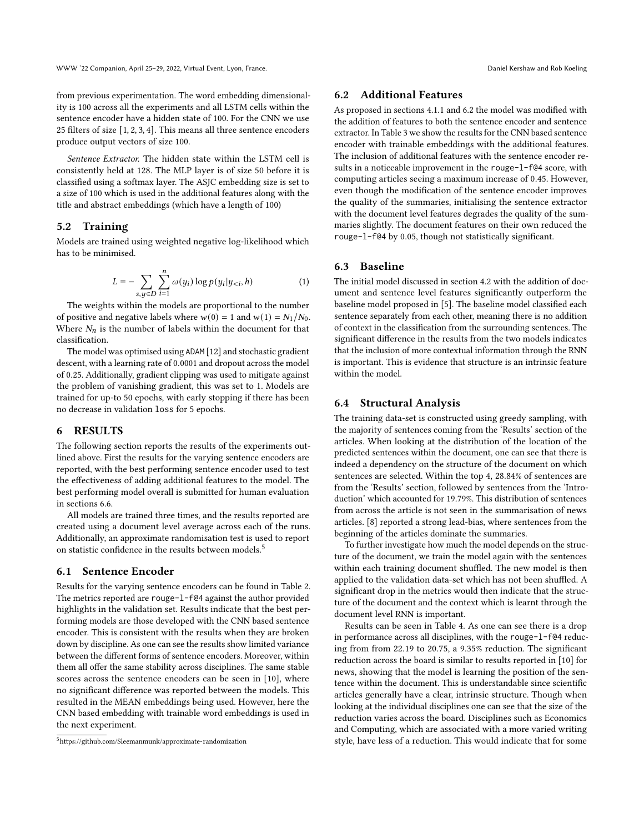from previous experimentation. The word embedding dimensionality is 100 across all the experiments and all [LSTM](#page-0-2) cells within the sentence encoder have a hidden state of 100. For the [CNN](#page-0-2) we use 25 filters of size [1, 2, 3, 4]. This means all three sentence encoders produce output vectors of size 100.

Sentence Extractor. The hidden state within the [LSTM](#page-0-2) cell is consistently held at 128. The [MLP](#page-0-2) layer is of size 50 before it is classified using a softmax layer. The [ASJC](#page-0-2) embedding size is set to a size of 100 which is used in the additional features along with the title and abstract embeddings (which have a length of 100)

#### 5.2 Training

Models are trained using weighted negative log-likelihood which has to be minimised.

$$
L = -\sum_{s, y \in D} \sum_{i=1}^{n} \omega(y_i) \log p(y_i | y_{< i}, h) \tag{1}
$$

The weights within the models are proportional to the number of positive and negative labels where  $w(0) = 1$  and  $w(1) = N_1/N_0$ . Where  $N_n$  is the number of labels within the document for that classification.

The model was optimised using ADAM [\[12\]](#page-6-17) and stochastic gradient descent, with a learning rate of 0.0001 and dropout across the model of 0.25. Additionally, gradient clipping was used to mitigate against the problem of vanishing gradient, this was set to 1. Models are trained for up-to 50 epochs, with early stopping if there has been no decrease in validation loss for 5 epochs.

# <span id="page-3-0"></span>6 RESULTS

The following section reports the results of the experiments outlined above. First the results for the varying sentence encoders are reported, with the best performing sentence encoder used to test the effectiveness of adding additional features to the model. The best performing model overall is submitted for human evaluation in sections [6.6.](#page-4-2)

All models are trained three times, and the results reported are created using a document level average across each of the runs. Additionally, an approximate randomisation test is used to report on statistic confidence in the results between models.[5](#page-3-1)

# 6.1 Sentence Encoder

Results for the varying sentence encoders can be found in Table [2.](#page-4-1) The metrics reported are rouge-l-f@4 against the author provided highlights in the validation set. Results indicate that the best performing models are those developed with the [CNN](#page-0-2) based sentence encoder. This is consistent with the results when they are broken down by discipline. As one can see the results show limited variance between the different forms of sentence encoders. Moreover, within them all offer the same stability across disciplines. The same stable scores across the sentence encoders can be seen in [\[10\]](#page-6-8), where no significant difference was reported between the models. This resulted in the MEAN embeddings being used. However, here the [CNN](#page-0-2) based embedding with trainable word embeddings is used in the next experiment.

#### <span id="page-3-2"></span>6.2 Additional Features

As proposed in sections [4.1.1](#page-2-2) and [6.2](#page-3-2) the model was modified with the addition of features to both the sentence encoder and sentence extractor. In Table [3](#page-4-3) we show the results for the [CNN](#page-0-2) based sentence encoder with trainable embeddings with the additional features. The inclusion of additional features with the sentence encoder results in a noticeable improvement in the rouge-l-f@4 score, with computing articles seeing a maximum increase of 0.45. However, even though the modification of the sentence encoder improves the quality of the summaries, initialising the sentence extractor with the document level features degrades the quality of the summaries slightly. The document features on their own reduced the rouge-l-f@4 by 0.05, though not statistically significant.

#### 6.3 Baseline

The initial model discussed in section [4.2](#page-2-1) with the addition of document and sentence level features significantly outperform the baseline model proposed in [\[5\]](#page-5-1). The baseline model classified each sentence separately from each other, meaning there is no addition of context in the classification from the surrounding sentences. The significant difference in the results from the two models indicates that the inclusion of more contextual information through the [RNN](#page-0-2) is important. This is evidence that structure is an intrinsic feature within the model

#### 6.4 Structural Analysis

The training data-set is constructed using greedy sampling, with the majority of sentences coming from the 'Results' section of the articles. When looking at the distribution of the location of the predicted sentences within the document, one can see that there is indeed a dependency on the structure of the document on which sentences are selected. Within the top 4, 28.84% of sentences are from the 'Results' section, followed by sentences from the 'Introduction' which accounted for 19.79%. This distribution of sentences from across the article is not seen in the summarisation of news articles. [\[8\]](#page-6-18) reported a strong lead-bias, where sentences from the beginning of the articles dominate the summaries.

To further investigate how much the model depends on the structure of the document, we train the model again with the sentences within each training document shuffled. The new model is then applied to the validation data-set which has not been shuffled. A significant drop in the metrics would then indicate that the structure of the document and the context which is learnt through the document level [RNN](#page-0-2) is important.

Results can be seen in Table [4.](#page-4-4) As one can see there is a drop in performance across all disciplines, with the rouge-l-f@4 reducing from from 22.19 to 20.75, a 9.35% reduction. The significant reduction across the board is similar to results reported in [\[10\]](#page-6-8) for news, showing that the model is learning the position of the sentence within the document. This is understandable since scientific articles generally have a clear, intrinsic structure. Though when looking at the individual disciplines one can see that the size of the reduction varies across the board. Disciplines such as Economics and Computing, which are associated with a more varied writing style, have less of a reduction. This would indicate that for some

<span id="page-3-1"></span><sup>5</sup><https://github.com/Sleemanmunk/approximate-randomization>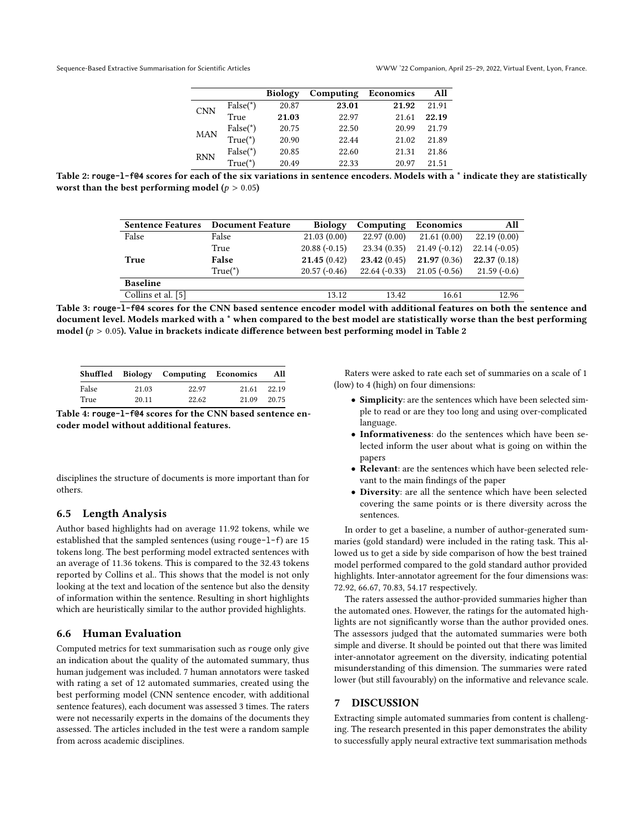|            |            | <b>Biology</b> | Computing | Economics | All   |
|------------|------------|----------------|-----------|-----------|-------|
| <b>CNN</b> | $False(*)$ | 20.87          | 23.01     | 21.92     | 21.91 |
|            | True       | 21.03          | 22.97     | 21.61     | 22.19 |
| <b>MAN</b> | $False(*)$ | 20.75          | 22.50     | 20.99     | 21.79 |
|            | $True(*)$  | 20.90          | 22.44     | 21.02     | 21.89 |
| <b>RNN</b> | $False(*)$ | 20.85          | 22.60     | 21.31     | 21.86 |
|            | $True(*)$  | 20.49          | 22.33     | 20.97     | 21.51 |

<span id="page-4-3"></span><span id="page-4-1"></span>Table 2: **rouge-l-f@4** scores for each of the six variations in sentence encoders. Models with a \* indicate they are statistically worst than the best performing model ( $p > 0.05$ )

| <b>Sentence Features</b> | <b>Document Feature</b> | <b>Biology</b> | Computing      | Economics      | All            |
|--------------------------|-------------------------|----------------|----------------|----------------|----------------|
| False                    | False                   | 21.03(0.00)    | 22.97(0.00)    | 21.61(0.00)    | 22.19(0.00)    |
|                          | True                    | $20.88(-0.15)$ | 23.34(0.35)    | $21.49(-0.12)$ | $22.14(-0.05)$ |
| True                     | False                   | 21.45(0.42)    | 23.42(0.45)    | 21.97(0.36)    | 22.37(0.18)    |
|                          | $True(*)$               | $20.57(-0.46)$ | $22.64(-0.33)$ | $21.05(-0.56)$ | $21.59(-0.6)$  |
| <b>Baseline</b>          |                         |                |                |                |                |
| Collins et al. [5]       |                         | 13.12          | 13.42          | 16.61          | 12.96          |

Table 3: **rouge-l-f@4** scores for the [CNN](#page-0-2) based sentence encoder model with additional features on both the sentence and document level. Models marked with a \* when compared to the best model are statistically worse than the best performing model ( $p > 0.05$ ). Value in brackets indicate difference between best performing model in Table [2](#page-4-1)

<span id="page-4-4"></span>

|       |       | Shuffled Biology Computing Economics |       | All         |
|-------|-------|--------------------------------------|-------|-------------|
| False | 21.03 | 22.97                                | 21.61 | 22.19       |
| True  | 20.11 | 22.62                                |       | 21.09 20.75 |

Table 4: **rouge-l-f@4** scores for the [CNN](#page-0-2) based sentence encoder model without additional features.

disciplines the structure of documents is more important than for others.

#### 6.5 Length Analysis

Author based highlights had on average 11.92 tokens, while we established that the sampled sentences (using rouge-l-f) are 15 tokens long. The best performing model extracted sentences with an average of 11.36 tokens. This is compared to the 32.43 tokens reported by [Collins et al..](#page-5-1) This shows that the model is not only looking at the text and location of the sentence but also the density of information within the sentence. Resulting in short highlights which are heuristically similar to the author provided highlights.

#### <span id="page-4-2"></span>6.6 Human Evaluation

Computed metrics for text summarisation such as rouge only give an indication about the quality of the automated summary, thus human judgement was included. 7 human annotators were tasked with rating a set of 12 automated summaries, created using the best performing model [\(CNN](#page-0-2) sentence encoder, with additional sentence features), each document was assessed 3 times. The raters were not necessarily experts in the domains of the documents they assessed. The articles included in the test were a random sample from across academic disciplines.

Raters were asked to rate each set of summaries on a scale of 1 (low) to 4 (high) on four dimensions:

- Simplicity: are the sentences which have been selected simple to read or are they too long and using over-complicated language.
- Informativeness: do the sentences which have been selected inform the user about what is going on within the papers
- Relevant: are the sentences which have been selected relevant to the main findings of the paper
- Diversity: are all the sentence which have been selected covering the same points or is there diversity across the sentences.

In order to get a baseline, a number of author-generated summaries (gold standard) were included in the rating task. This allowed us to get a side by side comparison of how the best trained model performed compared to the gold standard author provided highlights. Inter-annotator agreement for the four dimensions was: 72.92, 66.67, 70.83, 54.17 respectively.

The raters assessed the author-provided summaries higher than the automated ones. However, the ratings for the automated highlights are not significantly worse than the author provided ones. The assessors judged that the automated summaries were both simple and diverse. It should be pointed out that there was limited inter-annotator agreement on the diversity, indicating potential misunderstanding of this dimension. The summaries were rated lower (but still favourably) on the informative and relevance scale.

#### <span id="page-4-0"></span>7 DISCUSSION

Extracting simple automated summaries from content is challenging. The research presented in this paper demonstrates the ability to successfully apply neural extractive text summarisation methods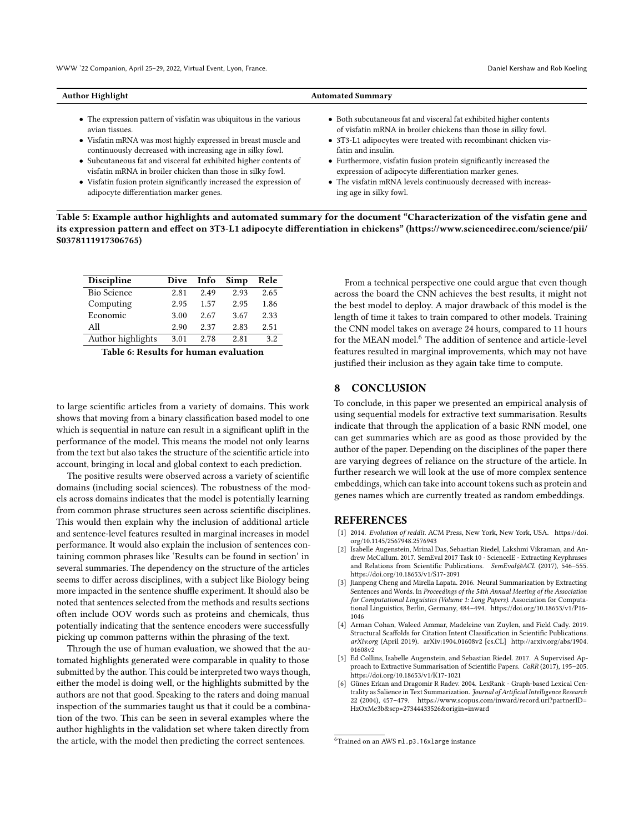<span id="page-5-5"></span>

| <b>Author Highlight</b>                                            | <b>Automated Summary</b>                                           |  |  |
|--------------------------------------------------------------------|--------------------------------------------------------------------|--|--|
| • The expression pattern of visfatin was ubiquitous in the various | • Both subcutaneous fat and visceral fat exhibited higher contents |  |  |
| avian tissues.                                                     | of visfatin mRNA in broiler chickens than those in silky fowl.     |  |  |
| • Visfatin mRNA was most highly expressed in breast muscle and     | • 3T3-L1 adipocytes were treated with recombinant chicken vis-     |  |  |
| continuously decreased with increasing age in silky fowl.          | fatin and insulin.                                                 |  |  |

- Subcutaneous fat and visceral fat exhibited higher contents of visfatin mRNA in broiler chicken than those in silky fowl.
- Visfatin fusion protein significantly increased the expression of adipocyte differentiation marker genes.
- Furthermore, visfatin fusion protein significantly increased the expression of adipocyte differentiation marker genes.
- The visfatin mRNA levels continuously decreased with increasing age in silky fowl.

Table 5: Example author highlights and automated summary for the document "Characterization of the visfatin gene and its expression pattern and effect on 3T3-L1 adipocyte differentiation in chickens" [\(https://www.sciencedirec.com/science/pii/](https://www.sciencedirec.com/science/pii/S0378111917306765) [S0378111917306765\)](https://www.sciencedirec.com/science/pii/S0378111917306765)

| <b>Discipline</b>  | Dive | Info | Simp | Rele |
|--------------------|------|------|------|------|
| <b>Bio Science</b> | 2.81 | 2.49 | 2.93 | 2.65 |
| Computing          | 2.95 | 1.57 | 2.95 | 1.86 |
| Economic           | 3.00 | 2.67 | 3.67 | 2.33 |
| All                | 2.90 | 2.37 | 2.83 | 2.51 |
| Author highlights  | 3.01 | 2.78 | 2.81 | 3.2  |

Table 6: Results for human evaluation

to large scientific articles from a variety of domains. This work shows that moving from a binary classification based model to one which is sequential in nature can result in a significant uplift in the performance of the model. This means the model not only learns from the text but also takes the structure of the scientific article into account, bringing in local and global context to each prediction.

The positive results were observed across a variety of scientific domains (including social sciences). The robustness of the models across domains indicates that the model is potentially learning from common phrase structures seen across scientific disciplines. This would then explain why the inclusion of additional article and sentence-level features resulted in marginal increases in model performance. It would also explain the inclusion of sentences containing common phrases like 'Results can be found in section' in several summaries. The dependency on the structure of the articles seems to differ across disciplines, with a subject like Biology being more impacted in the sentence shuffle experiment. It should also be noted that sentences selected from the methods and results sections often include [OOV](#page-0-2) words such as proteins and chemicals, thus potentially indicating that the sentence encoders were successfully picking up common patterns within the phrasing of the text.

Through the use of human evaluation, we showed that the automated highlights generated were comparable in quality to those submitted by the author. This could be interpreted two ways though, either the model is doing well, or the highlights submitted by the authors are not that good. Speaking to the raters and doing manual inspection of the summaries taught us that it could be a combination of the two. This can be seen in several examples where the author highlights in the validation set where taken directly from the article, with the model then predicting the correct sentences.

From a technical perspective one could argue that even though across the board the [CNN](#page-0-2) achieves the best results, it might not the best model to deploy. A major drawback of this model is the length of time it takes to train compared to other models. Training the [CNN](#page-0-2) model takes on average 24 hours, compared to 11 hours for the MEAN model.<sup>[6](#page-5-7)</sup> The addition of sentence and article-level features resulted in marginal improvements, which may not have justified their inclusion as they again take time to compute.

#### 8 CONCLUSION

To conclude, in this paper we presented an empirical analysis of using sequential models for extractive text summarisation. Results indicate that through the application of a basic [RNN](#page-0-2) model, one can get summaries which are as good as those provided by the author of the paper. Depending on the disciplines of the paper there are varying degrees of reliance on the structure of the article. In further research we will look at the use of more complex sentence embeddings, which can take into account tokens such as protein and genes names which are currently treated as random embeddings.

# **REFERENCES**

- <span id="page-5-4"></span>[1] 2014. Evolution of reddit. ACM Press, New York, New York, USA. [https://doi.](https://doi.org/10.1145/2567948.2576943) [org/10.1145/2567948.2576943](https://doi.org/10.1145/2567948.2576943)
- <span id="page-5-3"></span>[2] Isabelle Augenstein, Mrinal Das, Sebastian Riedel, Lakshmi Vikraman, and Andrew McCallum. 2017. SemEval 2017 Task 10 - ScienceIE - Extracting Keyphrases and Relations from Scientific Publications. SemEval@ACL (2017), 546-555. <https://doi.org/10.18653/v1/S17-2091>
- <span id="page-5-6"></span>[3] Jianpeng Cheng and Mirella Lapata. 2016. Neural Summarization by Extracting Sentences and Words. In Proceedings of the 54th Annual Meeting of the Association for Computational Linguistics (Volume 1: Long Papers). Association for Computational Linguistics, Berlin, Germany, 484–494. [https://doi.org/10.18653/v1/P16-](https://doi.org/10.18653/v1/P16-1046) [1046](https://doi.org/10.18653/v1/P16-1046)
- <span id="page-5-2"></span>[4] Arman Cohan, Waleed Ammar, Madeleine van Zuylen, and Field Cady. 2019. Structural Scaffolds for Citation Intent Classification in Scientific Publications. arXiv.org (April 2019). arXiv[:1904.01608v2](https://arxiv.org/abs/1904.01608v2) [cs.CL] [http://arxiv.org/abs/1904.](http://arxiv.org/abs/1904.01608v2) [01608v2](http://arxiv.org/abs/1904.01608v2)
- <span id="page-5-1"></span>[5] Ed Collins, Isabelle Augenstein, and Sebastian Riedel. 2017. A Supervised Approach to Extractive Summarisation of Scientific Papers. CoRR (2017), 195–205. <https://doi.org/10.18653/v1/K17-1021>
- <span id="page-5-0"></span>[6] Günes Erkan and Dragomir R Radev. 2004. LexRank - Graph-based Lexical Centrality as Salience in Text Summarization. Journal of Artificial Intelligence Research 22 (2004), 457–479. [https://www.scopus.com/inward/record.uri?partnerID=](https://www.scopus.com/inward/record.uri?partnerID=HzOxMe3b&scp=27344433526&origin=inward) [HzOxMe3b&scp=27344433526&origin=inward](https://www.scopus.com/inward/record.uri?partnerID=HzOxMe3b&scp=27344433526&origin=inward)

<span id="page-5-7"></span><sup>6</sup>Trained on an AWS ml.p3.16xlarge instance